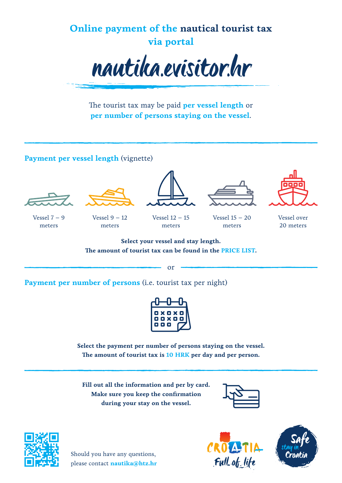

The tourist tax may be paid **per vessel length** or **per number of persons staying on the vessel**.

## **Payment per vessel length** (vignette)





meters







 $V$ essel  $7 - 9$ meters



Vessel 12 – 15 meters

Vessel 15 – 20 meters

Vessel over 20 meters

**Select your vessel and stay length. The amount of tourist tax can be found in the PRICE LIST.**

or

**Payment per number of persons** (i.e. tourist tax per night)



**Select the payment per number of persons staying on the vessel. The amount of tourist tax is 10 HRK per day and per person.**

**Fill out all the information and per by card. Make sure you keep the confirmation during your stay on the vessel.**





Should you have any questions, please contact **nautika@htz.hr**